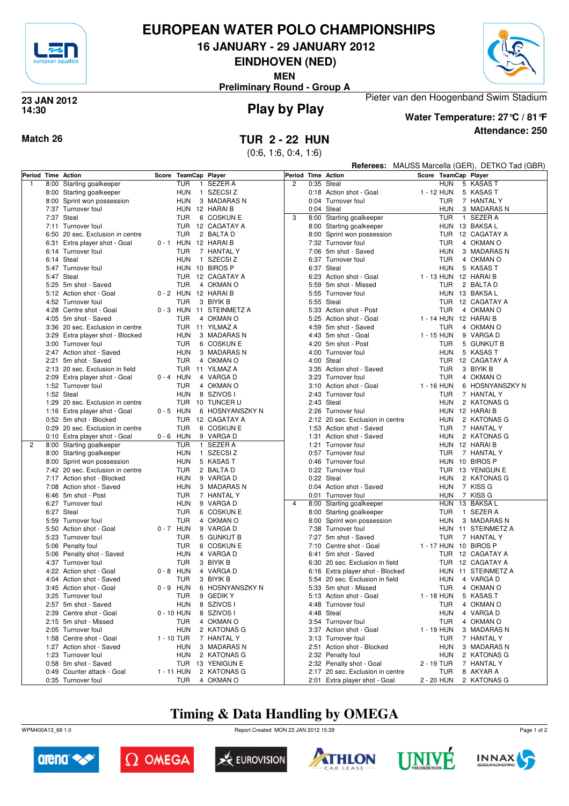

## **EUROPEAN WATER POLO CHAMPIONSHIPS**

**16 JANUARY - 29 JANUARY 2012**

**EINDHOVEN (NED)**

**MEN**

Pieter van den Hoogenband Swim Stadium **Preliminary Round - Group A**



### **Play by Play 23 JAN 2012 14:30**



**Attendance: 250 Water Temperature: 27°C / 81°F**

## **Match 26 TUR 2 - 22 HUN**

(0:6, 1:6, 0:4, 1:6)

|   | Period Time Action                              |             |                          |                          |                |      |                                                                     |                                     | <b>Referees:</b> MAUSS Marcella (GER), DETKO Tad (GBR) |
|---|-------------------------------------------------|-------------|--------------------------|--------------------------|----------------|------|---------------------------------------------------------------------|-------------------------------------|--------------------------------------------------------|
|   |                                                 |             | Score TeamCap Player     |                          | Period         |      | <b>Time Action</b>                                                  | Score TeamCap Player                |                                                        |
| 1 | 8:00 Starting goalkeeper                        |             | <b>TUR</b>               | 1 SEZER A                | $\overline{2}$ |      | 0:35 Steal                                                          | <b>HUN</b>                          | 5 KASAS T                                              |
|   | 8:00 Starting goalkeeper                        |             | <b>HUN</b>               | 1 SZECSIZ                |                |      | 0:18 Action shot - Goal                                             | 1 - 12 HUN                          | 5 KASAS T                                              |
|   | 8:00 Sprint won possession                      |             | HUN                      | 3 MADARAS N              |                |      | 0:04 Turnover foul                                                  | TUR                                 | 7 HANTAL Y                                             |
|   | 7:37 Turnover foul                              |             |                          | HUN 12 HARAIB            |                |      | 0:04 Steal                                                          | HUN                                 | 3 MADARAS N                                            |
|   | 7:37 Steal                                      |             | TUR                      | 6 COSKUN E               | 3              |      | 8:00 Starting goalkeeper                                            | <b>TUR</b>                          | 1 SEZER A                                              |
|   | 7:11 Turnover foul                              |             | TUR<br><b>TUR</b>        | 12 CAGATAY A             |                |      | 8:00 Starting goalkeeper                                            |                                     | HUN 13 BAKSA L                                         |
|   | 6:50 20 sec. Exclusion in centre                |             |                          | 2 BALTA D                |                |      | 8:00 Sprint won possession                                          | <b>TUR</b>                          | TUR 12 CAGATAY A<br>4 OKMAN O                          |
|   | 6:31 Extra player shot - Goal                   |             | <b>TUR</b>               | 0 - 1 HUN 12 HARAIB      |                |      | 7:32 Turnover foul<br>7:06 5m shot - Saved                          | <b>HUN</b>                          | 3 MADARAS N                                            |
|   | 6:14 Turnover foul<br>6:14 Steal                |             | <b>HUN</b>               | 7 HANTAL Y<br>1 SZECSIZ  |                |      | 6:37 Turnover foul                                                  | <b>TUR</b>                          | 4 OKMAN O                                              |
|   | 5:47 Turnover foul                              |             |                          | HUN 10 BIROS P           |                |      | 6:37 Steal                                                          | <b>HUN</b>                          | 5 KASAS T                                              |
|   | 5:47 Steal                                      |             |                          | TUR 12 CAGATAY A         |                |      | 6:23 Action shot - Goal                                             | 1 - 13 HUN 12 HARAI B               |                                                        |
|   | 5:25 5m shot - Saved                            |             | <b>TUR</b>               | 4 OKMAN O                |                |      | 5:59 5m shot - Missed                                               | <b>TUR</b>                          | 2 BALTA D                                              |
|   | 5:12 Action shot - Goal                         |             |                          | 0-2 HUN 12 HARAIB        |                |      | 5:55 Turnover foul                                                  |                                     | HUN 13 BAKSA L                                         |
|   | 4:52 Turnover foul                              |             | <b>TUR</b>               | 3 BIYIK B                |                |      | 5:55 Steal                                                          |                                     | TUR 12 CAGATAY A                                       |
|   | 4:28 Centre shot - Goal                         |             |                          | 0 - 3 HUN 11 STEINMETZ A |                |      | 5:33 Action shot - Post                                             | <b>TUR</b>                          | 4 OKMAN O                                              |
|   | 4:05 5m shot - Saved                            |             | <b>TUR</b>               | 4 OKMAN O                |                |      | 5:25 Action shot - Goal                                             | 1 - 14 HUN 12 HARAI B               |                                                        |
|   | 3:36 20 sec. Exclusion in centre                |             |                          | TUR 11 YILMAZ A          |                |      | 4:59 5m shot - Saved                                                | <b>TUR</b>                          | 4 OKMAN O                                              |
|   | 3:29 Extra player shot - Blocked                |             | <b>HUN</b>               | 3 MADARAS N              |                |      | 4:43 5m shot - Goal                                                 | 1 - 15 HUN                          | 9 VARGA D                                              |
|   | 3:00 Turnover foul                              |             | <b>TUR</b>               | 6 COSKUN E               |                |      | 4:20 5m shot - Post                                                 | <b>TUR</b>                          | 5 GUNKUT B                                             |
|   | 2:47 Action shot - Saved                        |             | <b>HUN</b>               | 3 MADARAS N              |                |      | 4:00 Turnover foul                                                  | <b>HUN</b>                          | 5 KASAS T                                              |
|   | 2:21 5m shot - Saved                            |             | <b>TUR</b>               | 4 OKMAN O                |                |      | 4:00 Steal                                                          |                                     | TUR 12 CAGATAY A                                       |
|   | 2:13 20 sec. Exclusion in field                 |             | TUR                      | 11 YILMAZ A              |                |      | 3:35 Action shot - Saved                                            | <b>TUR</b>                          | 3 BIYIK B                                              |
|   | 2:09 Extra player shot - Goal                   | $0 - 4$ HUN |                          | 4 VARGA D                |                |      | 3:23 Turnover foul                                                  | <b>TUR</b>                          | 4 OKMAN O                                              |
|   | 1:52 Turnover foul                              |             | <b>TUR</b>               | 4 OKMAN O                |                |      | 3:10 Action shot - Goal                                             | 1 - 16 HUN                          | 6 HOSNYANSZKY N                                        |
|   | 1:52 Steal                                      |             | <b>HUN</b>               | 8 SZIVOS I               |                |      | 2:43 Turnover foul                                                  | <b>TUR</b>                          | 7 HANTAL Y                                             |
|   | 1:29 20 sec. Exclusion in centre                |             |                          | TUR 10 TUNCER U          |                |      | 2:43 Steal                                                          | HUN                                 | 2 KATONAS G                                            |
|   | 1:16 Extra player shot - Goal                   | $0 - 5$ HUN |                          | 6 HOSNYANSZKY N          |                |      | 2:26 Turnover foul                                                  |                                     | HUN 12 HARAI B                                         |
|   | 0:52 5m shot - Blocked                          |             |                          | TUR 12 CAGATAY A         |                |      | 2:12 20 sec. Exclusion in centre                                    | <b>HUN</b>                          | 2 KATONAS G                                            |
|   | 0:29 20 sec. Exclusion in centre                |             | <b>TUR</b>               | 6 COSKUN E               |                |      | 1:53 Action shot - Saved                                            | <b>TUR</b>                          | 7 HANTAL Y                                             |
|   | 0:10 Extra player shot - Goal                   | $0 - 6$ HUN |                          | 9 VARGA D                |                |      | 1:31 Action shot - Saved                                            | <b>HUN</b>                          | 2 KATONAS G                                            |
| 2 | 8:00 Starting goalkeeper                        |             | <b>TUR</b>               | 1 SEZER A                |                |      | 1:21 Turnover foul                                                  |                                     | HUN 12 HARAI B                                         |
|   | 8:00 Starting goalkeeper                        |             | HUN                      | 1 SZECSI Z               |                |      | 0:57 Turnover foul                                                  | TUR                                 | 7 HANTAL Y                                             |
|   | 8:00 Sprint won possession                      |             | <b>HUN</b>               | 5 KASAS T                |                |      | 0:46 Turnover foul                                                  |                                     | HUN 10 BIROS P                                         |
|   | 7:42 20 sec. Exclusion in centre                |             | <b>TUR</b>               | 2 BALTA D                |                |      | 0:22 Turnover foul                                                  |                                     | TUR 13 YENIGUN E                                       |
|   | 7:17 Action shot - Blocked                      |             | <b>HUN</b>               | 9 VARGA D                |                |      | 0:22 Steal                                                          | <b>HUN</b>                          | 2 KATONAS G                                            |
|   | 7:08 Action shot - Saved                        |             | <b>HUN</b>               | 3 MADARAS N              |                |      | 0:04 Action shot - Saved                                            | <b>HUN</b>                          | 7 KISS G                                               |
|   | 6:46 5m shot - Post                             |             | <b>TUR</b>               | 7 HANTAL Y               |                |      | 0:01 Turnover foul                                                  | <b>HUN</b>                          | 7 KISS G                                               |
|   | 6:27 Turnover foul                              |             | <b>HUN</b>               | 9 VARGA D                | $\overline{4}$ |      | 8:00 Starting goalkeeper                                            |                                     | HUN 13 BAKSA L                                         |
|   | 6:27 Steal                                      |             | <b>TUR</b>               | 6 COSKUN E               |                |      | 8:00 Starting goalkeeper                                            | <b>TUR</b>                          | 1 SEZER A                                              |
|   | 5:59 Turnover foul                              |             | <b>TUR</b>               | 4 OKMAN O                |                |      | 8:00 Sprint won possession                                          | HUN                                 | 3 MADARAS N                                            |
|   | 5:50 Action shot - Goal                         | $0 - 7$ HUN |                          | 9 VARGA D                |                |      | 7:38 Turnover foul                                                  |                                     | HUN 11 STEINMETZ A                                     |
|   | 5:23 Turnover foul                              |             | <b>TUR</b>               | 5 GUNKUT B               |                | 7:27 | 5m shot - Saved                                                     | <b>TUR</b><br>1 - 17 HUN 10 BIROS P | 7 HANTAL Y                                             |
|   | 5:06 Penalty foul                               |             | <b>TUR</b>               | 6 COSKUN E               |                |      | 7:10 Centre shot - Goal                                             |                                     | TUR 12 CAGATAY A                                       |
|   | 5:06 Penalty shot - Saved<br>4:37 Turnover foul |             | <b>HUN</b><br><b>TUR</b> | 4 VARGA D<br>3 BIYIK B   |                |      | 6:41 5m shot - Saved<br>6:30 20 sec. Exclusion in field             |                                     |                                                        |
|   | 4:22 Action shot - Goal                         | $0 - 8$ HUN |                          | 4 VARGA D                |                |      |                                                                     |                                     | TUR 12 CAGATAY A<br>HUN 11 STEINMETZ A                 |
|   | 4:04 Action shot - Saved                        |             | <b>TUR</b>               | 3 BIYIK B                |                |      | 6:16 Extra player shot - Blocked<br>5:54 20 sec. Exclusion in field | HUN                                 | 4 VARGA D                                              |
|   | 3:45 Action shot - Goal                         |             | 0 - 9 HUN                | 6 HOSNYANSZKY N          |                |      | 5:33 5m shot - Missed                                               |                                     | TUR 4 OKMAN O                                          |
|   | 3:25 Turnover foul                              |             | TUR                      | 9 GEDIK Y                |                |      | 5:13 Action shot - Goal                                             | 1 - 18 HUN 5 KASAS T                |                                                        |
|   | 2:57 5m shot - Saved                            |             | HUN                      | 8 SZIVOS I               |                |      | 4:48 Turnover foul                                                  | TUR                                 | 4 OKMAN O                                              |
|   | 2:39 Centre shot - Goal                         | 0 - 10 HUN  |                          | 8 SZIVOS I               |                |      | 4:48 Steal                                                          | <b>HUN</b>                          | 4 VARGA D                                              |
|   | 2:15 5m shot - Missed                           |             | TUR                      | 4 OKMAN O                |                |      | 3:54 Turnover foul                                                  | TUR                                 | 4 OKMAN O                                              |
|   | 2:05 Turnover foul                              |             | <b>HUN</b>               | 2 KATONAS G              |                |      | 3:37 Action shot - Goal                                             | 1 - 19 HUN                          | 3 MADARAS N                                            |
|   | 1:58 Centre shot - Goal                         | 1 - 10 TUR  |                          | 7 HANTAL Y               |                |      | 3:13 Turnover foul                                                  | TUR                                 | 7 HANTAL Y                                             |
|   | 1:27 Action shot - Saved                        |             | HUN                      | 3 MADARAS N              |                |      | 2:51 Action shot - Blocked                                          | <b>HUN</b>                          | 3 MADARAS N                                            |
|   | 1:23 Turnover foul                              |             | HUN                      | 2 KATONAS G              |                |      | 2:32 Penalty foul                                                   | HUN                                 | 2 KATONAS G                                            |
|   | 0:58 5m shot - Saved                            |             |                          | TUR 13 YENIGUN E         |                |      | 2:32 Penalty shot - Goal                                            | 2 - 19 TUR                          | 7 HANTAL Y                                             |
|   | 0:49 Counter attack - Goal                      |             |                          | 1 - 11 HUN 2 KATONAS G   |                |      | 2:17 20 sec. Exclusion in centre                                    | TUR                                 | 8 AKYAR A                                              |

# **Timing & Data Handling by OMEGA**

WPM400A13\_69 1.0 Report Created MON 23 JAN 2012 15:39





0:35 Turnover foul TUR 4 OKMAN O







2:01 Extra player shot - Goal 2 - 20 HUN 2 KATONAS G



Page 1 of 2